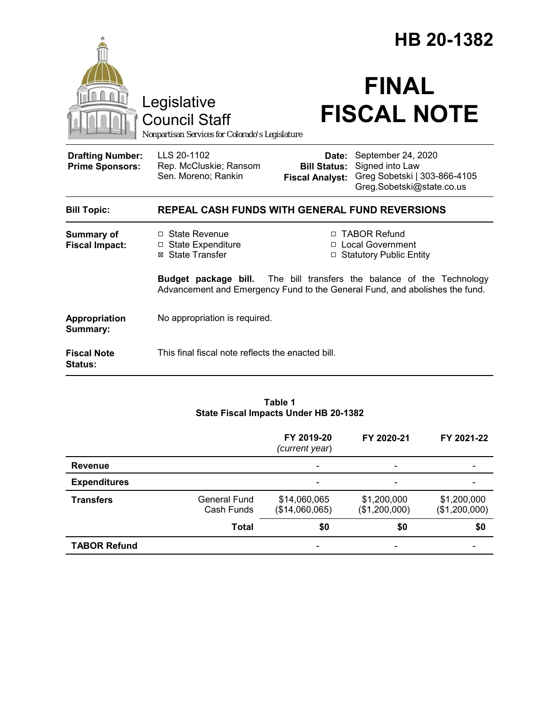|                                                   |                                                                                                                                                             | HB 20-1382                                                        |                                                                                                    |  |  |
|---------------------------------------------------|-------------------------------------------------------------------------------------------------------------------------------------------------------------|-------------------------------------------------------------------|----------------------------------------------------------------------------------------------------|--|--|
|                                                   | Legislative<br><b>Council Staff</b><br>Nonpartisan Services for Colorado's Legislature                                                                      |                                                                   | <b>FINAL</b><br><b>FISCAL NOTE</b>                                                                 |  |  |
| <b>Drafting Number:</b><br><b>Prime Sponsors:</b> | LLS 20-1102<br>Rep. McCluskie; Ransom<br>Sen. Moreno; Rankin                                                                                                | Date:<br><b>Bill Status:</b><br><b>Fiscal Analyst:</b>            | September 24, 2020<br>Signed into Law<br>Greg Sobetski   303-866-4105<br>Greg.Sobetski@state.co.us |  |  |
| <b>Bill Topic:</b>                                | <b>REPEAL CASH FUNDS WITH GENERAL FUND REVERSIONS</b>                                                                                                       |                                                                   |                                                                                                    |  |  |
| Summary of<br><b>Fiscal Impact:</b>               | □ State Revenue<br>$\Box$ State Expenditure<br>⊠ State Transfer                                                                                             | □ TABOR Refund<br>□ Local Government<br>□ Statutory Public Entity |                                                                                                    |  |  |
|                                                   | <b>Budget package bill.</b> The bill transfers the balance of the Technology<br>Advancement and Emergency Fund to the General Fund, and abolishes the fund. |                                                                   |                                                                                                    |  |  |
| Appropriation<br>Summary:                         | No appropriation is required.                                                                                                                               |                                                                   |                                                                                                    |  |  |
| <b>Fiscal Note</b><br><b>Status:</b>              | This final fiscal note reflects the enacted bill.                                                                                                           |                                                                   |                                                                                                    |  |  |

#### **Table 1 State Fiscal Impacts Under HB 20-1382**

|                     |                            | FY 2019-20<br>(current year)   | FY 2020-21                   | FY 2021-22                   |
|---------------------|----------------------------|--------------------------------|------------------------------|------------------------------|
| <b>Revenue</b>      |                            |                                |                              |                              |
| <b>Expenditures</b> |                            |                                |                              |                              |
| <b>Transfers</b>    | General Fund<br>Cash Funds | \$14,060,065<br>(\$14,060,065) | \$1,200,000<br>(\$1,200,000) | \$1,200,000<br>(\$1,200,000) |
|                     | <b>Total</b>               | \$0                            | \$0                          | \$0                          |
| <b>TABOR Refund</b> |                            |                                |                              |                              |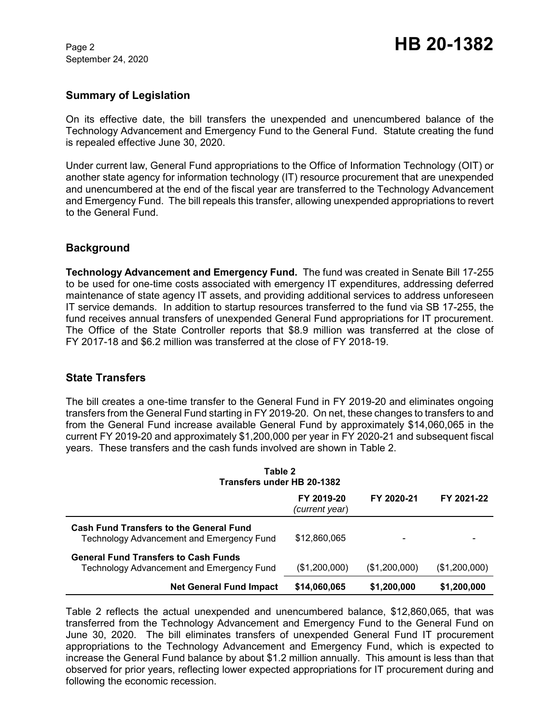September 24, 2020

#### **Summary of Legislation**

On its effective date, the bill transfers the unexpended and unencumbered balance of the Technology Advancement and Emergency Fund to the General Fund. Statute creating the fund is repealed effective June 30, 2020.

Under current law, General Fund appropriations to the Office of Information Technology (OIT) or another state agency for information technology (IT) resource procurement that are unexpended and unencumbered at the end of the fiscal year are transferred to the Technology Advancement and Emergency Fund. The bill repeals this transfer, allowing unexpended appropriations to revert to the General Fund.

### **Background**

**Technology Advancement and Emergency Fund.** The fund was created in Senate Bill 17-255 to be used for one-time costs associated with emergency IT expenditures, addressing deferred maintenance of state agency IT assets, and providing additional services to address unforeseen IT service demands. In addition to startup resources transferred to the fund via SB 17-255, the fund receives annual transfers of unexpended General Fund appropriations for IT procurement. The Office of the State Controller reports that \$8.9 million was transferred at the close of FY 2017-18 and \$6.2 million was transferred at the close of FY 2018-19.

#### **State Transfers**

The bill creates a one-time transfer to the General Fund in FY 2019-20 and eliminates ongoing transfers from the General Fund starting in FY 2019-20. On net, these changes to transfers to and from the General Fund increase available General Fund by approximately \$14,060,065 in the current FY 2019-20 and approximately \$1,200,000 per year in FY 2020-21 and subsequent fiscal years. These transfers and the cash funds involved are shown in Table 2.

| Table 2<br>Transfers under HB 20-1382                                                              |                              |               |               |  |  |  |
|----------------------------------------------------------------------------------------------------|------------------------------|---------------|---------------|--|--|--|
|                                                                                                    | FY 2019-20<br>(current year) | FY 2020-21    | FY 2021-22    |  |  |  |
| <b>Cash Fund Transfers to the General Fund</b><br><b>Technology Advancement and Emergency Fund</b> | \$12,860,065                 |               |               |  |  |  |
| <b>General Fund Transfers to Cash Funds</b><br>Technology Advancement and Emergency Fund           | (\$1,200,000)                | (\$1,200,000) | (\$1,200,000) |  |  |  |
| <b>Net General Fund Impact</b>                                                                     | \$14,060,065                 | \$1,200,000   | \$1,200,000   |  |  |  |

Table 2 reflects the actual unexpended and unencumbered balance, \$12,860,065, that was transferred from the Technology Advancement and Emergency Fund to the General Fund on June 30, 2020. The bill eliminates transfers of unexpended General Fund IT procurement appropriations to the Technology Advancement and Emergency Fund, which is expected to increase the General Fund balance by about \$1.2 million annually. This amount is less than that observed for prior years, reflecting lower expected appropriations for IT procurement during and following the economic recession.